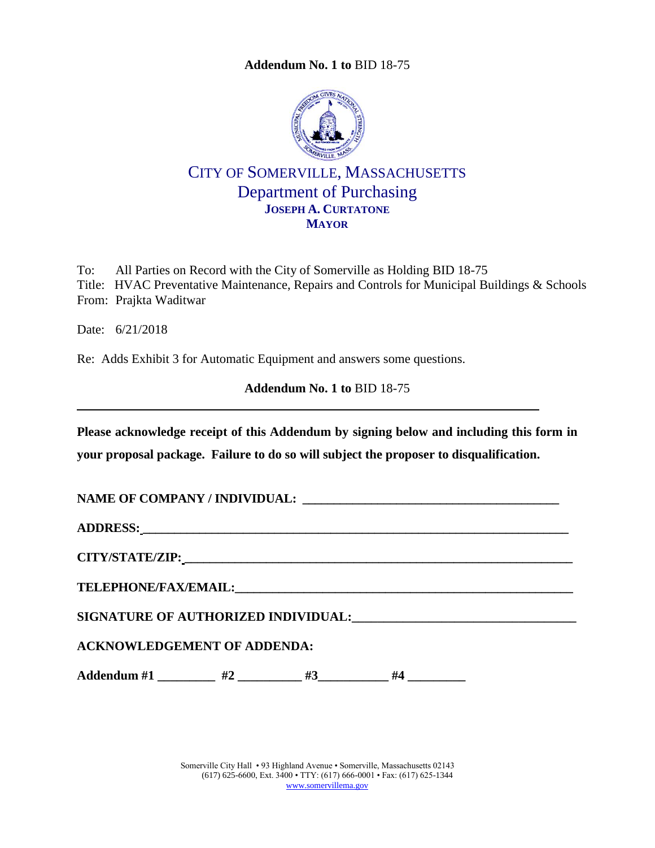**Addendum No. 1 to** [BID 18-75](#page-0-0)



## CITY OF SOMERVILLE, MASSACHUSETTS Department of Purchasing **JOSEPH A. CURTATONE MAYOR**

To: All Parties on Record with the City of Somerville as Holding BID 18-75 Title: HVAC Preventative Maintenance, Repairs and Controls for Municipal Buildings & Schools From: Prajkta Waditwar

Date: 6/21/2018

Re: Adds Exhibit 3 for Automatic Equipment and answers some questions.

<span id="page-0-0"></span>**Addendum No. 1 to** [BID 18-75](#page-0-0)

**Please acknowledge receipt of this Addendum by signing below and including this form in your proposal package. Failure to do so will subject the proposer to disqualification.**

**NAME OF COMPANY / INDIVIDUAL: \_\_\_\_\_\_\_\_\_\_\_\_\_\_\_\_\_\_\_\_\_\_\_\_\_\_\_\_\_\_\_\_\_\_\_\_\_\_\_\_\_**

**ADDRESS: \_\_\_\_\_\_\_\_\_\_\_\_\_\_\_\_\_\_\_\_\_\_\_\_\_\_\_\_\_\_\_\_\_\_\_\_\_\_\_\_\_\_\_\_\_\_\_\_\_\_\_\_\_\_\_\_\_\_\_\_\_\_\_\_\_\_\_\_**

**CITY/STATE/ZIP: \_\_\_\_\_\_\_\_\_\_\_\_\_\_\_\_\_\_\_\_\_\_\_\_\_\_\_\_\_\_\_\_\_\_\_\_\_\_\_\_\_\_\_\_\_\_\_\_\_\_\_\_\_\_\_\_\_\_\_\_\_\_**

 $\bf{TELEPHONE/FAX/EMAIL:}$ 

**SIGNATURE OF AUTHORIZED INDIVIDUAL:\_\_\_\_\_\_\_\_\_\_\_\_\_\_\_\_\_\_\_\_\_\_\_\_\_\_\_\_\_\_\_\_\_\_\_**

**ACKNOWLEDGEMENT OF ADDENDA:**

Addendum #1 \_\_\_\_\_\_\_\_ #2 \_\_\_\_\_\_\_\_ #3 \_\_\_\_\_\_\_ #4 \_\_\_\_\_\_\_\_